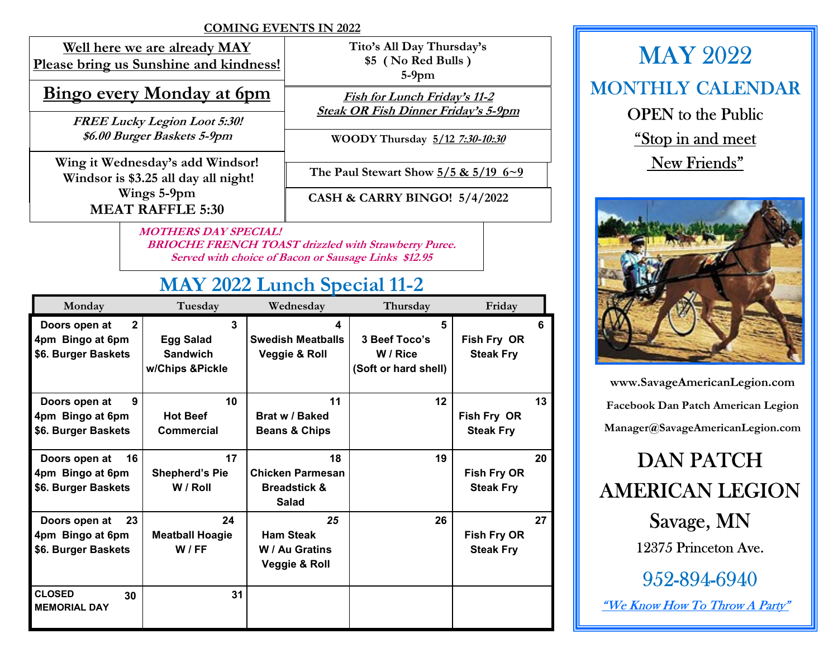### COMING EVENTS IN 2022

Well here we are already MAY Please bring us Sunshine and kindness!

### Bingo every Monday at 6pm

FREE Lucky Legion Loot 5:30! \$6.00 Burger Baskets 5-9pm

Wing it Wednesday's add Windsor! Windsor is \$3.25 all day all night! Wings 5-9pm MEAT RAFFLE 5:30

Tito's All Day Thursday's \$5 ( No Red Bulls ) 5-9pm

Fish for Lunch Friday's 11-2 Steak OR Fish Dinner Friday's 5-9pm

WOODY Thursday 5/12 7:30-10:30

The Paul Stewart Show  $5/5$  &  $5/19$  6~9

CASH & CARRY BINGO! 5/4/2022

 MOTHERS DAY SPECIAL! BRIOCHE FRENCH TOAST drizzled with Strawberry Puree. Served with choice of Bacon or Sausage Links \$12.95

## MAY 2022 Lunch Special 11-2

| Monday                                                                   | Tuesday                                                     | Wednesday                                                         | Thursday                                               | Friday                                 |    |
|--------------------------------------------------------------------------|-------------------------------------------------------------|-------------------------------------------------------------------|--------------------------------------------------------|----------------------------------------|----|
| $\mathbf{2}$<br>Doors open at<br>4pm Bingo at 6pm<br>\$6. Burger Baskets | 3<br><b>Egg Salad</b><br><b>Sandwich</b><br>w/Chips &Pickle | 4<br><b>Swedish Meatballs</b><br>Veggie & Roll                    | 5<br>3 Beef Toco's<br>W / Rice<br>(Soft or hard shell) | Fish Fry OR<br><b>Steak Fry</b>        | ĥ  |
| 9<br>Doors open at<br>4pm Bingo at 6pm<br>\$6. Burger Baskets            | 10<br><b>Hot Beef</b><br>Commercial                         | 11<br>Brat w / Baked<br><b>Beans &amp; Chips</b>                  | 12                                                     | Fish Fry OR<br><b>Steak Fry</b>        | 13 |
| 16<br>Doors open at<br>4pm Bingo at 6pm<br>\$6. Burger Baskets           | 17<br><b>Shepherd's Pie</b><br>W / Roll                     | 18<br>Chicken Parmesan<br><b>Breadstick &amp;</b><br><b>Salad</b> | 19                                                     | Fish Fry OR<br><b>Steak Fry</b>        | 20 |
| 23<br>Doors open at<br>4pm Bingo at 6pm<br>\$6. Burger Baskets           | 24<br><b>Meatball Hoagie</b><br>W/FF                        | 25<br><b>Ham Steak</b><br>W / Au Gratins<br>Veggie & Roll         | 26                                                     | <b>Fish Fry OR</b><br><b>Steak Fry</b> | 27 |
| <b>CLOSED</b><br>30<br><b>MEMORIAL DAY</b>                               | 31                                                          |                                                                   |                                                        |                                        |    |

MAY 2022 MONTHLY CALENDAR OPEN to the Public "Stop in and meet New Friends"



www.SavageAmericanLegion.com Facebook Dan Patch American Legion Manager@SavageAmericanLegion.com

# DAN PATCH AMERICAN LEGION

Savage, MN 12375 Princeton Ave.

952-894-6940

"We Know How To Throw A Party"